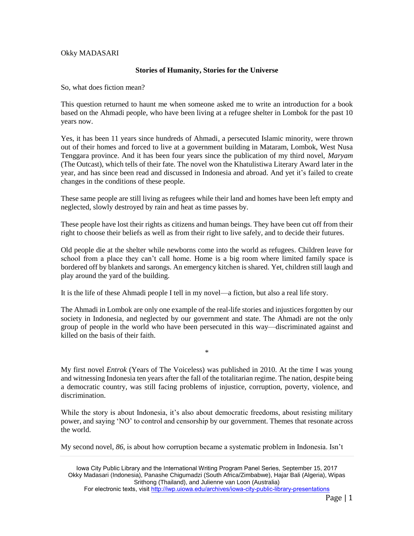## Okky MADASARI

## **Stories of Humanity, Stories for the Universe**

So, what does fiction mean?

This question returned to haunt me when someone asked me to write an introduction for a book based on the Ahmadi people, who have been living at a refugee shelter in Lombok for the past 10 years now.

Yes, it has been 11 years since hundreds of Ahmadi, a persecuted Islamic minority, were thrown out of their homes and forced to live at a government building in Mataram, Lombok, West Nusa Tenggara province. And it has been four years since the publication of my third novel, *Maryam* (The Outcast), which tells of their fate. The novel won the Khatulistiwa Literary Award later in the year, and has since been read and discussed in Indonesia and abroad. And yet it's failed to create changes in the conditions of these people.

These same people are still living as refugees while their land and homes have been left empty and neglected, slowly destroyed by rain and heat as time passes by.

These people have lost their rights as citizens and human beings. They have been cut off from their right to choose their beliefs as well as from their right to live safely, and to decide their futures.

Old people die at the shelter while newborns come into the world as refugees. Children leave for school from a place they can't call home. Home is a big room where limited family space is bordered off by blankets and sarongs. An emergency kitchen is shared. Yet, children still laugh and play around the yard of the building.

It is the life of these Ahmadi people I tell in my novel—a fiction, but also a real life story.

The Ahmadi in Lombok are only one example of the real-life stories and injustices forgotten by our society in Indonesia, and neglected by our government and state. The Ahmadi are not the only group of people in the world who have been persecuted in this way—discriminated against and killed on the basis of their faith.

\*

My first novel *Entrok* (Years of The Voiceless) was published in 2010. At the time I was young and witnessing Indonesia ten years after the fall of the totalitarian regime. The nation, despite being a democratic country, was still facing problems of injustice, corruption, poverty, violence, and discrimination.

While the story is about Indonesia, it's also about democratic freedoms, about resisting military power, and saying 'NO' to control and censorship by our government. Themes that resonate across the world.

My second novel, *86*, is about how corruption became a systematic problem in Indonesia. Isn't

Iowa City Public Library and the International Writing Program Panel Series, September 15, 2017 Okky Madasari (Indonesia), Panashe Chigumadzi (South Africa/Zimbabwe), Hajar Bali (Algeria), Wipas Srithong (Thailand), and Julienne van Loon (Australia) For electronic texts, visi[t http://iwp.uiowa.edu/archives/iowa-city-public-library-presentations](http://iwp.uiowa.edu/archives/iowa-city-public-library-presentations)